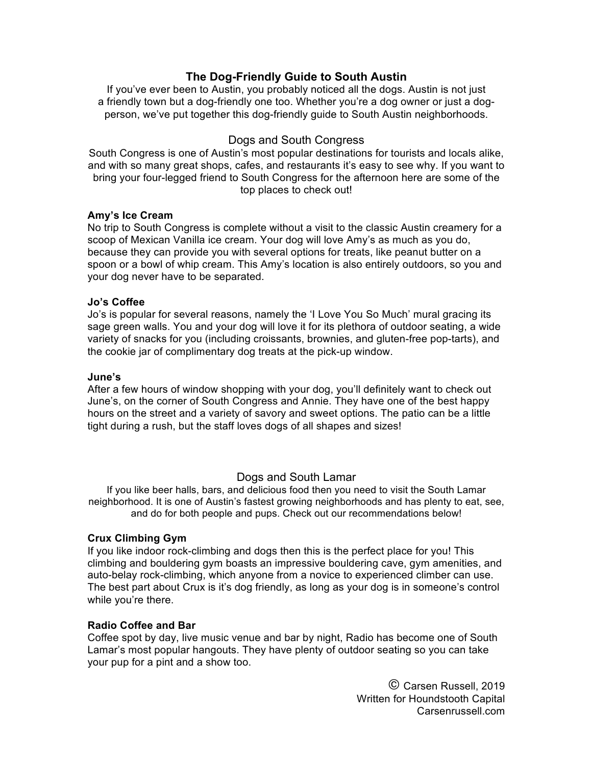# **The Dog-Friendly Guide to South Austin**

If you've ever been to Austin, you probably noticed all the dogs. Austin is not just a friendly town but a dog-friendly one too. Whether you're a dog owner or just a dogperson, we've put together this dog-friendly guide to South Austin neighborhoods.

## Dogs and South Congress

South Congress is one of Austin's most popular destinations for tourists and locals alike, and with so many great shops, cafes, and restaurants it's easy to see why. If you want to bring your four-legged friend to South Congress for the afternoon here are some of the top places to check out!

### **Amy's Ice Cream**

No trip to South Congress is complete without a visit to the classic Austin creamery for a scoop of Mexican Vanilla ice cream. Your dog will love Amy's as much as you do, because they can provide you with several options for treats, like peanut butter on a spoon or a bowl of whip cream. This Amy's location is also entirely outdoors, so you and your dog never have to be separated.

#### **Jo's Coffee**

Jo's is popular for several reasons, namely the 'I Love You So Much' mural gracing its sage green walls. You and your dog will love it for its plethora of outdoor seating, a wide variety of snacks for you (including croissants, brownies, and gluten-free pop-tarts), and the cookie jar of complimentary dog treats at the pick-up window.

#### **June's**

After a few hours of window shopping with your dog, you'll definitely want to check out June's, on the corner of South Congress and Annie. They have one of the best happy hours on the street and a variety of savory and sweet options. The patio can be a little tight during a rush, but the staff loves dogs of all shapes and sizes!

## Dogs and South Lamar

If you like beer halls, bars, and delicious food then you need to visit the South Lamar neighborhood. It is one of Austin's fastest growing neighborhoods and has plenty to eat, see, and do for both people and pups. Check out our recommendations below!

#### **Crux Climbing Gym**

If you like indoor rock-climbing and dogs then this is the perfect place for you! This climbing and bouldering gym boasts an impressive bouldering cave, gym amenities, and auto-belay rock-climbing, which anyone from a novice to experienced climber can use. The best part about Crux is it's dog friendly, as long as your dog is in someone's control while you're there.

#### **Radio Coffee and Bar**

Coffee spot by day, live music venue and bar by night, Radio has become one of South Lamar's most popular hangouts. They have plenty of outdoor seating so you can take your pup for a pint and a show too.

> © Carsen Russell, 2019 Written for Houndstooth Capital Carsenrussell.com